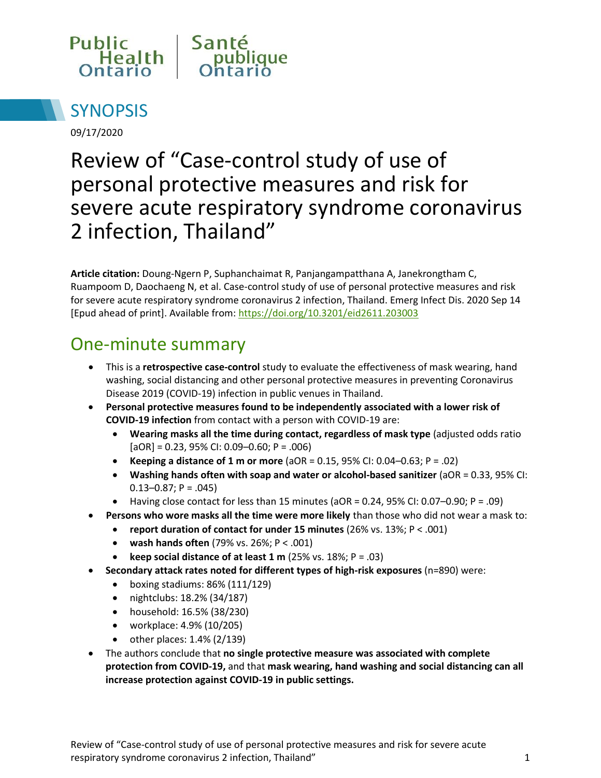



09/17/2020

# Review of "Case-control study of use of personal protective measures and risk for severe acute respiratory syndrome coronavirus 2 infection, Thailand"

**Article citation:** Doung-Ngern P, Suphanchaimat R, Panjangampatthana A, Janekrongtham C, Ruampoom D, Daochaeng N, et al. Case-control study of use of personal protective measures and risk for severe acute respiratory syndrome coronavirus 2 infection, Thailand. Emerg Infect Dis. 2020 Sep 14 [Epud ahead of print]. Available from:<https://doi.org/10.3201/eid2611.203003>

### One-minute summary

- This is a **retrospective case-control** study to evaluate the effectiveness of mask wearing, hand washing, social distancing and other personal protective measures in preventing Coronavirus Disease 2019 (COVID-19) infection in public venues in Thailand.
- **Personal protective measures found to be independently associated with a lower risk of COVID-19 infection** from contact with a person with COVID-19 are:
	- **Wearing masks all the time during contact, regardless of mask type** (adjusted odds ratio  $[aOR] = 0.23, 95\%$  CI: 0.09–0.60; P = .006)
	- **Keeping a distance of 1 m or more** (aOR = 0.15, 95% CI: 0.04–0.63; P = .02)
	- **Washing hands often with soap and water or alcohol-based sanitizer** (aOR = 0.33, 95% CI:  $0.13 - 0.87$ ; P = .045)
	- Having close contact for less than 15 minutes (aOR = 0.24, 95% CI: 0.07-0.90; P = .09)
	- **Persons who wore masks all the time were more likely** than those who did not wear a mask to:
		- **report duration of contact for under 15 minutes** (26% vs. 13%; P < .001)
		- **wash hands often** (79% vs. 26%; P < .001)
		- **e** keep social distance of at least  $1 \text{ m}$  (25% vs. 18%; P = .03)
- **Secondary attack rates noted for different types of high-risk exposures** (n=890) were:
	- $\bullet$  boxing stadiums: 86% (111/129)
	- nightclubs: 18.2% (34/187)
	- household: 16.5% (38/230)
	- workplace: 4.9% (10/205)
	- $\bullet$  other places: 1.4% (2/139)
- The authors conclude that **no single protective measure was associated with complete protection from COVID-19,** and that **mask wearing, hand washing and social distancing can all increase protection against COVID-19 in public settings.**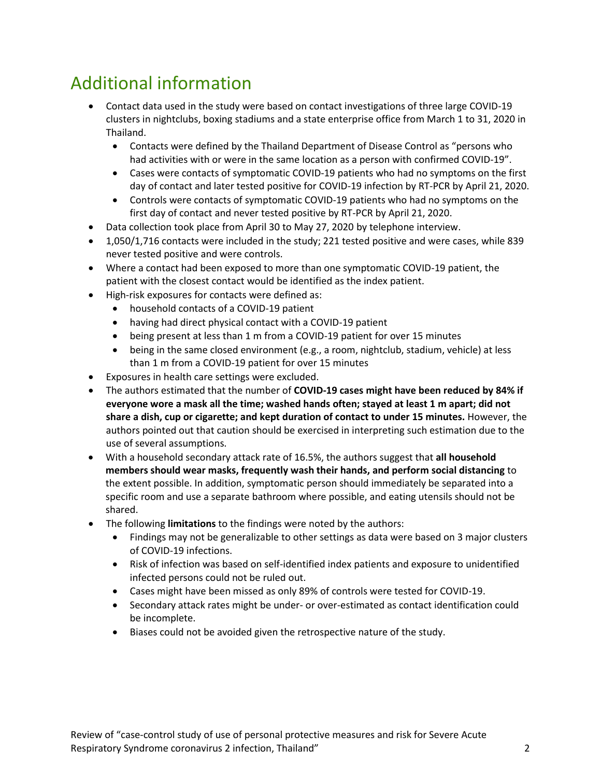# Additional information

- Contact data used in the study were based on contact investigations of three large COVID-19 clusters in nightclubs, boxing stadiums and a state enterprise office from March 1 to 31, 2020 in Thailand.
	- Contacts were defined by the Thailand Department of Disease Control as "persons who had activities with or were in the same location as a person with confirmed COVID-19".
	- Cases were contacts of symptomatic COVID-19 patients who had no symptoms on the first day of contact and later tested positive for COVID-19 infection by RT-PCR by April 21, 2020.
	- Controls were contacts of symptomatic COVID-19 patients who had no symptoms on the first day of contact and never tested positive by RT-PCR by April 21, 2020.
- Data collection took place from April 30 to May 27, 2020 by telephone interview.
- 1,050/1,716 contacts were included in the study; 221 tested positive and were cases, while 839 never tested positive and were controls.
- Where a contact had been exposed to more than one symptomatic COVID-19 patient, the patient with the closest contact would be identified as the index patient.
- High-risk exposures for contacts were defined as:
	- household contacts of a COVID-19 patient
	- having had direct physical contact with a COVID-19 patient
	- being present at less than 1 m from a COVID-19 patient for over 15 minutes
	- being in the same closed environment (e.g., a room, nightclub, stadium, vehicle) at less than 1 m from a COVID-19 patient for over 15 minutes
- Exposures in health care settings were excluded.
- The authors estimated that the number of **COVID-19 cases might have been reduced by 84% if everyone wore a mask all the time; washed hands often; stayed at least 1 m apart; did not share a dish, cup or cigarette; and kept duration of contact to under 15 minutes.** However, the authors pointed out that caution should be exercised in interpreting such estimation due to the use of several assumptions.
- With a household secondary attack rate of 16.5%, the authors suggest that **all household members should wear masks, frequently wash their hands, and perform social distancing** to the extent possible. In addition, symptomatic person should immediately be separated into a specific room and use a separate bathroom where possible, and eating utensils should not be shared.
- The following **limitations** to the findings were noted by the authors:
	- Findings may not be generalizable to other settings as data were based on 3 major clusters of COVID-19 infections.
	- Risk of infection was based on self-identified index patients and exposure to unidentified infected persons could not be ruled out.
	- Cases might have been missed as only 89% of controls were tested for COVID-19.
	- Secondary attack rates might be under- or over-estimated as contact identification could be incomplete.
	- Biases could not be avoided given the retrospective nature of the study.